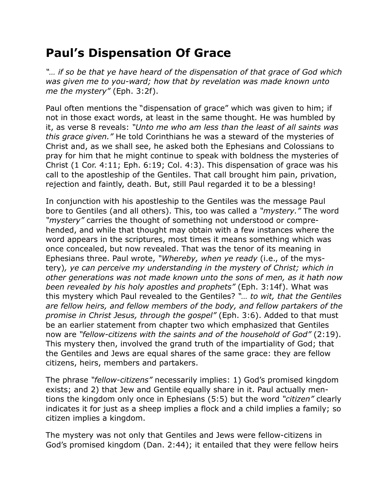## **Paul's Dispensation Of Grace**

*"… if so be that ye have heard of the dispensation of that grace of God which was given me to you-ward; how that by revelation was made known unto me the mystery"* (Eph. 3:2f).

Paul often mentions the "dispensation of grace" which was given to him; if not in those exact words, at least in the same thought. He was humbled by it, as verse 8 reveals: *"Unto me who am less than the least of all saints was this grace given."* He told Corinthians he was a steward of the mysteries of Christ and, as we shall see, he asked both the Ephesians and Colossians to pray for him that he might continue to speak with boldness the mysteries of Christ (1 Cor. 4:11; Eph. 6:19; Col. 4:3). This dispensation of grace was his call to the apostleship of the Gentiles. That call brought him pain, privation, rejection and faintly, death. But, still Paul regarded it to be a blessing!

In conjunction with his apostleship to the Gentiles was the message Paul bore to Gentiles (and all others). This, too was called a *"mystery."* The word *"mystery"* carries the thought of something not understood or comprehended, and while that thought may obtain with a few instances where the word appears in the scriptures, most times it means something which was once concealed, but now revealed. That was the tenor of its meaning in Ephesians three. Paul wrote, *"Whereby, when ye ready* (i.e., of the mystery)*, ye can perceive my understanding in the mystery of Christ; which in other generations was not made known unto the sons of men, as it hath now been revealed by his holy apostles and prophets"* (Eph. 3:14f). What was this mystery which Paul revealed to the Gentiles? *"… to wit, that the Gentiles are fellow heirs, and fellow members of the body, and fellow partakers of the promise in Christ Jesus, through the gospel"* (Eph. 3:6). Added to that must be an earlier statement from chapter two which emphasized that Gentiles now are *"fellow-citizens with the saints and of the household of God"* (2:19). This mystery then, involved the grand truth of the impartiality of God; that the Gentiles and Jews are equal shares of the same grace: they are fellow citizens, heirs, members and partakers.

The phrase *"fellow-citizens"* necessarily implies: 1) God's promised kingdom exists; and 2) that Jew and Gentile equally share in it. Paul actually mentions the kingdom only once in Ephesians (5:5) but the word *"citizen"* clearly indicates it for just as a sheep implies a flock and a child implies a family; so citizen implies a kingdom.

The mystery was not only that Gentiles and Jews were fellow-citizens in God's promised kingdom (Dan. 2:44); it entailed that they were fellow heirs